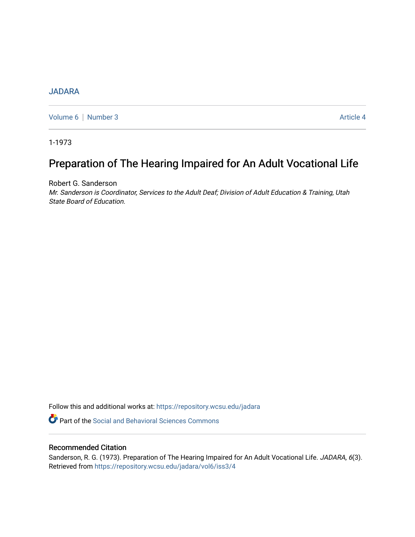# [JADARA](https://repository.wcsu.edu/jadara)

[Volume 6](https://repository.wcsu.edu/jadara/vol6) | [Number 3](https://repository.wcsu.edu/jadara/vol6/iss3) Article 4

1-1973

# Preparation of The Hearing Impaired for An Adult V ocational Life

Robert G. Sanderson

Mr. Sanderson is Coordinator, Services to the Adult Deaf; Division of Adult Education & Training, Utah State Board of Education.

Follow this and additional works at: [https://repository.wcsu.edu/jadara](https://repository.wcsu.edu/jadara?utm_source=repository.wcsu.edu%2Fjadara%2Fvol6%2Fiss3%2F4&utm_medium=PDF&utm_campaign=PDFCoverPages)

**P** Part of the Social and Behavioral Sciences Commons

# Recommended Citation

Sanderson, R. G. (1973). Preparation of The Hearing Impaired for An Adult Vocational Life. JADARA, 6(3). Retrieved from [https://repository.wcsu.edu/jadara/vol6/iss3/4](https://repository.wcsu.edu/jadara/vol6/iss3/4?utm_source=repository.wcsu.edu%2Fjadara%2Fvol6%2Fiss3%2F4&utm_medium=PDF&utm_campaign=PDFCoverPages)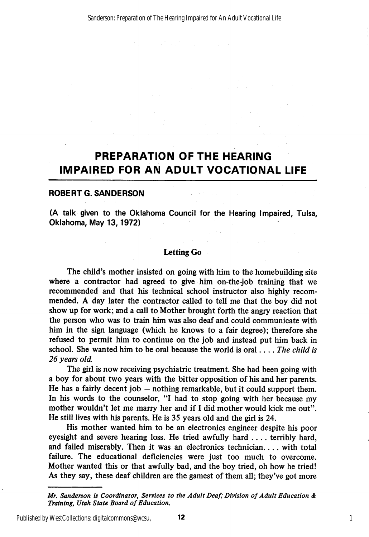# PREPARATION OF THE HEARING IMPAIRED FOR AN ADULT VOCATIONAL LIFE

#### ROBERT G.SANDERSON

(A talk given to the Oklahoma Council for the Hearing Impaired, Tulsa, Oklahoma, May 13,1972)

## Letting Go

The child's mother insisted on going with him to the homebuilding site where a contractor had agreed to give him on-the-job training that we recommended and that his technical school instructor also highly recom mended. A day later the contractor called to tell me that the boy did not show up for work; and a call to Mother brought forth the angry reaction that the person who was to train him was also deaf and could communicate with him in the sign language (which he knows to a fair degree); therefore she refused to permit him to continue on the job and instead put him back in school. She wanted him to be oral because the world is oral... The child is 26 years old.

The girl is now receiving psychiatric treatment. She had been going with a boy for about two years with the bitter opposition of his and her parents. He has a fairly decent job — nothing remarkable, but it could support them. In his words to the counselor, "I had to stop going with her because my mother wouldn't let me marry her and if I did mother would kick me out". He still lives with his parents. He is 35 years old and the girl is 24.

His mother wanted him to be an electronics engineer despite his poor eyesight and severe hearing loss. He tried awfully hard .... terribly hard, and failed miserably. Then it was an electronics technician.... with total failure. The educational deficiencies were just too much to overcome. Mother wanted this or that awfully bad, and the boy tried, oh how he tried! As they say, these deaf children are the gamest of them all; they've got more

Mr. Sanderson is Coordinator, Services to the Adult Deaf; Division of Adult Education & Training, Utah State Board of Education.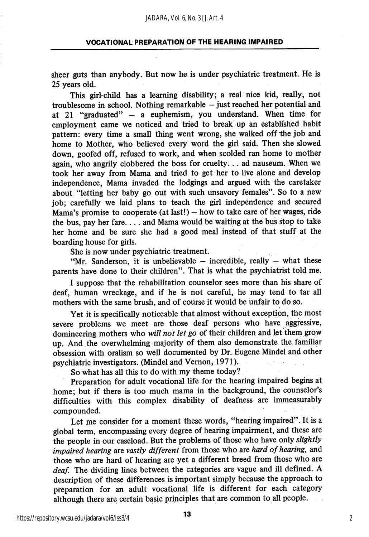sheer guts than anybody. But now he is under psychiatric treatment. He is 25 years old.

This girl-child has a learning disability; a real nice kid, really, not troublesome in school. Nothing remarkable  $-$  just reached her potential and at 21 "graduated" — a euphemism, you understand. When time for employment came we noticed and tried to break up an established habit pattern: every time a small thing went wrong, she walked off the job and home to Mother, who believed every word the girl said. Then she slowed down, goofed off, refused to work, and when scolded ran home to mother again, who angrily clobbered the boss for cruelty... ad nauseum. When we took her away from Mama and tried to get her to live alone and develop independence. Mama invaded the lodgings and argued with the caretaker about "letting her baby go out with such unsavory females". So to a new job; carefully we laid plans to teach the girl independence and secured Mama's promise to cooperate (at last!)  $-$  how to take care of her wages, ride the bus, pay her fare.... and Mama would be waiting at the bus stop to take her home and be sure she had a good meal instead of that stuff at the boarding house for girls.

She is now under psychiatric treatment.

"Mr. Sanderson, it is unbelievable  $-$  incredible, really  $-$  what these parents have done to their children". That is what the psychiatrist told me.

I suppose that the rehabilitation counselor sees more than his share of deaf, human wreckage, and if he is not careful, he may tend to tar all mothers with the same brush, and of course it would be unfair to do so.

Yet it is specifically noticeable that almost without exception, the most severe problems we meet are those deaf persons who have aggressive, domineering mothers who will not let go of their children and let them grow up. And the overwhelming majority of them also demonstrate the. familiar obsession with oralism so well documented by Dr. Eugene Mindel and other psychiatric investigators. (Mindel and Vemon, 1971).

So what has all this to do with my theme today?

Preparation for adult vocational life for the hearing impaired begins at home; but if there is too much mama in the background, the counselor's difficulties with this complex disabihty of deafness are immeasurably compounded.

Let me consider for a moment these words, "hearing impaired". It is a global term, encompassing every degree of hearing impairment, and these are the people in our caseload. But the problems of those who have only slightly impaired hearing are vastly different from those who are hard of hearing, and those who are hard of hearing are yet a different breed from those who are deaf. The dividing lines between the categories are vague and ill defined. A description of these differences is important simply because the approach to preparation for an adult vocational life is different for each category although there are certain basic principles that are common to all people.

https://repository.wcsu.edu/jadara/vol6/iss3/4

 $\overline{\mathbf{13}}$  2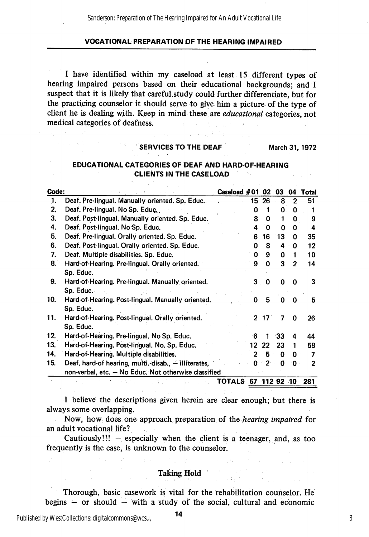I have identified within my caseload at least 15 different types of hearing impaired persons based on their educational backgrounds; and I suspect that it is likely that careful, study could further differentiate, but for the practicing counselor it should serve to give him a picture of the type of client he is dealing with. Keep in mind these are educational categories, not medical categories of deafness.

#### SERVICES TO THE DEAF March 31, 1972

# EDUCATIONAL CATEGORIES OF DEAF AND HARD-OF-HEARING CLIENTS IN THE CASELOAD

| Code: |                                                      | ිCaseload #01       |    | 02          | 03           | 04           | Total |
|-------|------------------------------------------------------|---------------------|----|-------------|--------------|--------------|-------|
| 1.    | Deaf. Pre-lingual. Manually oriented. Sp. Educ.      |                     | 15 | 26          | 8            | $\mathbf{2}$ | 51    |
| 2.    | Deaf. Pre-lingual. No Sp. Educ.                      |                     | O  |             | 0            | 0            |       |
| 3.    | Deaf. Post-lingual. Manually oriented. Sp. Educ.     |                     | 8  | 0           | 1            | 0            | 9     |
| 4.    | Deaf. Post-lingual. No Sp. Educ.                     |                     | 4  | 0           | O            | 0            | 4     |
| 5.    | Deaf. Pre-lingual. Orally oriented. Sp. Educ.        |                     | 6  | 16          | 13           | 0            | 35    |
| 6.    | Deaf. Post-lingual. Orally oriented. Sp. Educ.       |                     | ი  | 8           | 4            | 0            | 12    |
| 7.    | Deaf. Multiple disabilities. Sp. Educ.               |                     | O  | 9           | 0            | 1            | 10    |
| 8.    | Hard-of-Hearing. Pre-lingual. Orally oriented.       |                     | 9  | $\mathbf 0$ | 3            | $\mathbf{2}$ | 14    |
|       | Sp. Educ.                                            |                     |    |             |              |              |       |
| 9.    | Hard-of-Hearing. Pre-lingual. Manually oriented.     |                     | 3  | 0           | 0            | 0            | 3     |
|       | Sp. Educ.                                            |                     |    |             |              |              |       |
| 10.   | Hard-of-Hearing. Post-lingual. Manually oriented.    |                     | O  | 5           | <sup>0</sup> | 0            | 5     |
|       | Sp. Educ.                                            |                     |    |             |              |              |       |
| 11.   | Hard-of-Hearing. Post-lingual. Orally oriented.      |                     |    | $2 \t17$    | 7            | 0            | 26    |
|       | Sp. Educ.                                            |                     |    |             |              |              |       |
| 12.   | Hard-of-Hearing. Pre-lingual. No Sp. Educ.           |                     | 6  | 1           | -33          | 4            | 44    |
| 13.   | Hard-of-Hearing. Post-lingual. No. Sp. Educ.         |                     | 12 | 22          | 23           | 1            | 58    |
| 14.   | Hard-of-Hearing. Multiple disabilities.              |                     | 2  | 5           | O            | 0            | 7     |
| 15.   | Deaf, hard-of hearing, multi.-disab., - illiterates, |                     | O. | ∵ 2'        | Ő            | 0            | 2     |
|       | non-verbal, etc. - No Educ. Not otherwise classified |                     |    |             |              |              |       |
|       |                                                      | TOTALS 67 112 92 10 |    |             |              |              | 281   |

I believe the descriptions given herein are clear enough; but there is always some overlapping.

Now, how does one approach preparation of the hearing impaired for an adult vocational life? . .

Cautiously!!!  $-$  especially when the client is a teenager, and, as too frequently is the case, is unknown to the counselor.

#### Taking Hold

Thorough, basic casework is vital for the rehabilitation counselor. He begins  $-$  or should  $-$  with a study of the social, cultural and economic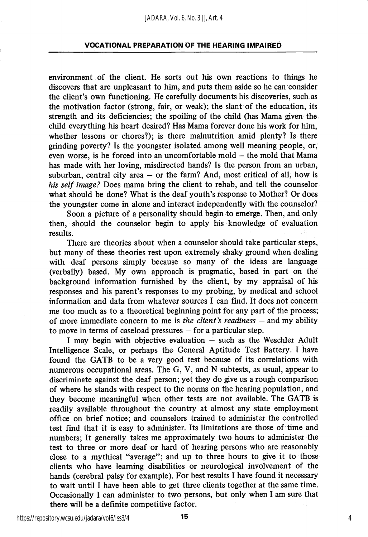environment of the client. He sorts out his own reactions to things he discovers that are unpleasant to him, and puts them aside so he can consider the client's own functioning. He carefully documents his discoveries, such as the motivation factor (strong, fair, or weak); the slant of the education, its strength and its deficiencies; the spoiling of the child (has Mama given the child everything his heart desired? Has Mama forever done his work for him, whether lessons or chores?); is there malnutrition amid plenty? Is there grinding poverty? Is the youngster isolated among well meaning people, or, even worse, is he forced into an uncomfortable mold — the mold that Mama has made with her loving, misdirected hands? Is the person from an urban, suburban, central city area  $-$  or the farm? And, most critical of all, how is his self image? Does mama bring the client to rehab, and tell the counselor what should be done? What is the deaf youth's response to Mother? Or does the youngster come in alone and interact independently with the counselor?

Soon a picture of a personality should begin to emerge. Then, and only then, should the counselor begin to apply his knowledge of evaluation results.

There are theories about when a counselor should take particular steps, but many of these theories rest upon extremely shaky ground when dealing with deaf persons simply because so many of the ideas are language (verbally) based. My own approach is pragmatic, based in part on the background information furnished by the client, by my appraisal of his responses and his parent's responses to my probing, by medical and school information and data from whatever sources I can find. It does not concern me too much as to a theoretical beginning point for any part of the process; of more immediate concern to me is the client's readiness  $-$  and my ability to move in terms of caseload pressures — for a particular step.

I may begin with objective evaluation — such as the Weschler Adult Intelligence Scale, or perhaps the General Aptitude Test Battery. I have found the GATE to be a very good test because of its correlations with numerous occupational areas. The G, V, and N subtests, as usual, appear to discriminate against the deaf person; yet they do give us a rough comparison of where he stands with respect to the norms on the hearing population, and they become meaningful when other tests are not available. The GATE is readily available throughout the country at almost any state employment office on brief notice; and counselors trained to administer the controlled test find that it is easy to administer. Its limitations are those of time and numbers; It generally takes me approximately two hours to administer the test to three or more deaf or hard of hearing persons who are reasonably close to a mythical "average"; and up to three hours to give it to those clients who have learning disabilities or neurological involvement of the hands (cerebral palsy for example). For best results I have found it necessary to wait until I have been able to get three clients together at the same time. Occasionally I can administer to two persons, but only when I am sure that there will be a definite competitive factor.

https://repository.wcsu.edu/jadara/vol6/iss3/4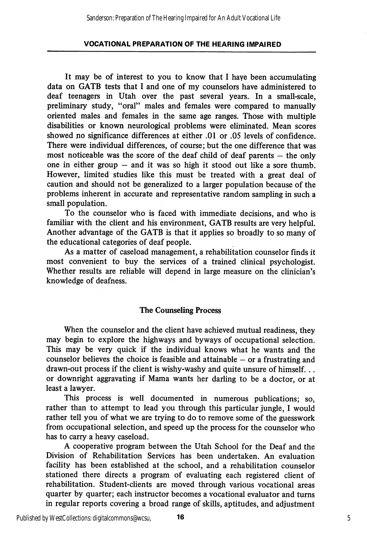It may be of interest to you to know that I haye been accumulating data on GATB tests that I and one of my counselors have administered to deaf teenagers in Utah over the past several years. In a small-scale, preliminary study, "oral" males and females were compared to manually oriented males and females in the same age ranges. Those with multiple disabilities or known neurological problems were eliminated. Mean scores showed no significance differences at either .01 or .05 levels of confidence. There were individual differences, of course; but the one difference that was most noticeable was the score of the deaf child of deaf parents — the only one in either group — and it was so high it stood out like a sore thumb. However, limited studies like this must be treated with a great deal of caution and should not be generalized to a larger population because of the problems inherent in accurate and representative random sampling in such a small population.

To the counselor who is faced with immediate decisions, and who is famihar with the client and his environment, GATB results are very helpful. Another advantage of the GATB is that it applies so broadly to so many of the educational categories of deaf people.

As a matter of caseload management, a rehabilitation counselor finds it most convenient to buy the services of a trained clinical psychologist. Whether results are reliable will depend in large measure on the clinician's knowledge of deafness.

# The Counseling Process

When the counselor and the client have achieved mutual readiness, they may begin to explore the highways and byways of occupational selection. This may be very quick if the individual knows what he wants and the counselor believes the choice is feasible and attainable — or a frustrating and drawn-out process if the client is wishy-washy and quite unsure of himself... or downright aggravating if Mama wants her darling to be a doctor, or at least a lawyer.

This process is well documented in numerous publications; so, rather than to attempt to lead you through this particular jungle, I would rather tell you of what we are trying to do to remove some of the guesswork from occupational selection, and speed up the process for the counselor who has to carry a heavy caseload.

A cooperative program between the Utah School for the Deaf and the Division of Rehabilitation Services has been undertaken. An evaluation facility has been established at the school, and a rehabilitation counselor stationed there directs a program of evaluating each registered client of rehabilitation. Student-clients are moved through various vocational areas quarter by quarter; each instructor becomes a vocational evaluator and turns in regular reports covering a broad range of skills, aptitudes, and adjustment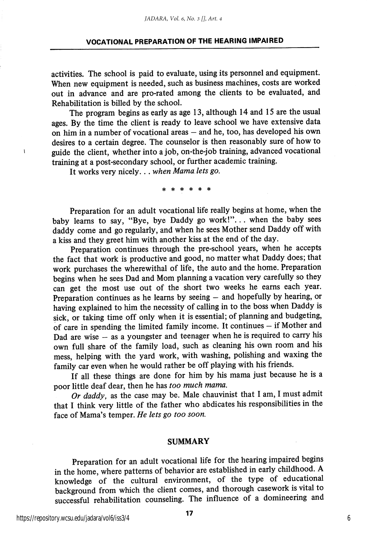activities. The school is paid to evaluate, using its personnel and equipment. When new equipment is needed, such as business machines, costs are worked out in advance and are pro-rated among the clients to be evaluated, and Rehabilitation is billed by the school.

The program begins as early as age 13, although 14 and 15 are the usual ages. By the time the client is ready to leave school we have extensive data on him in a number of vocational areas — and he, too, has developed his own desires to a certain degree. The counselor is then reasonably sure of how to guide the client, whether into a job, on-the-job training, advanced vocational training at a post-secondary school, or further academic training.

It works very nicely. . . when Mama lets go.

\* \* \* \*

Preparation for an adult vocational life really begins at home, when the baby learns to say, "Bye, bye Daddy go work!"... when the baby sees daddy come and go regularly, and when he sees Mother send Daddy off with a kiss and they greet him with another kiss at the end of the day.

Preparation continues through the pre-school years, when he accepts the fact that work is productive and good, no matter what Daddy does; that work purchases the wherewithal of life, the auto and the home. Preparation begins when he sees Dad and Mom planning a vacation very carefully so they can get the most use out of the short two weeks he earns each year. Preparation continues as he learns by seeing – and hopefully by hearing, or having explained to him the necessity of calling in to the boss when Daddy is sick, or taking time off only when it is essential; of planning and budgeting, of care in spending the limited family income. It continues - if Mother and Dad are wise  $-$  as a youngster and teenager when he is required to carry his own full share of the family load, such as cleaning his own room and his mess, helping with the yard work, with washing, polishing and waxing the family car even when he would rather be off playing with his friends.

If all these things are done for him by his mama just because he is a poor little deaf dear, then he has too much mama.

Or daddy, as the case may be. Male chauvinist that I am, I must admit that I think very little of the father who abdicates his responsibilities in the face of Mama's temper. He lets go too soon.

#### SUMMARY

Preparation for an adult vocational life for the hearing impaired begins in the home, where patterns of behavior are established in early childhood. A knowledge of the cultural environment, of the type of educational background from which the client comes, and thorough casework is vital to successful rehabilitation counseling. The influence of a domineering and

https://repository.wcsu.edu/jadara/vol6/iss3/4

 $\mathbf{I}$